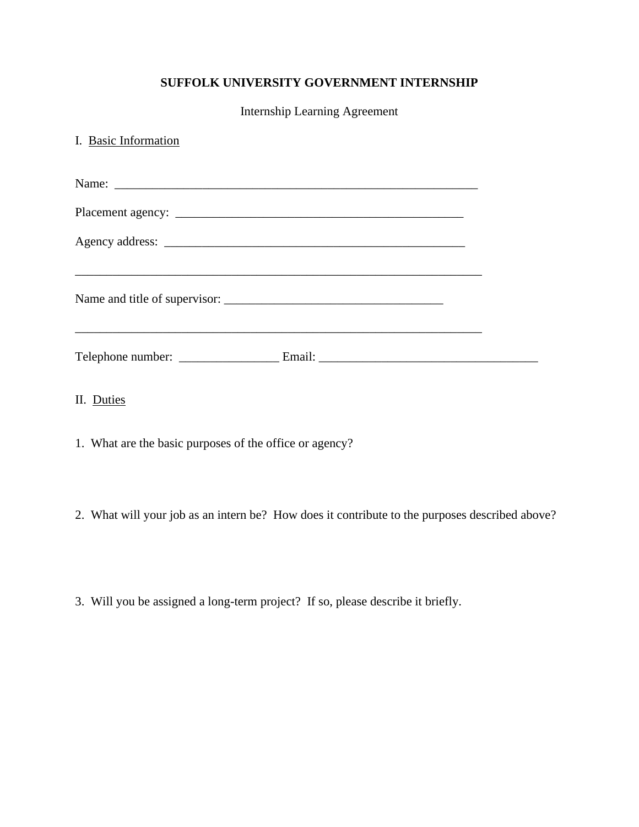## **SUFFOLK UNIVERSITY GOVERNMENT INTERNSHIP**

Internship Learning Agreement

| I. Basic Information                                                             |  |
|----------------------------------------------------------------------------------|--|
|                                                                                  |  |
|                                                                                  |  |
| ,我们也不能在这里的时候,我们也不能在这里的时候,我们也不能会在这里,我们也不能会在这里的时候,我们也不能会在这里的时候,我们也不能会在这里的时候,我们也不能会 |  |
|                                                                                  |  |
|                                                                                  |  |
| II. Duties                                                                       |  |

- 1. What are the basic purposes of the office or agency?
- 2. What will your job as an intern be? How does it contribute to the purposes described above?
- 3. Will you be assigned a long-term project? If so, please describe it briefly.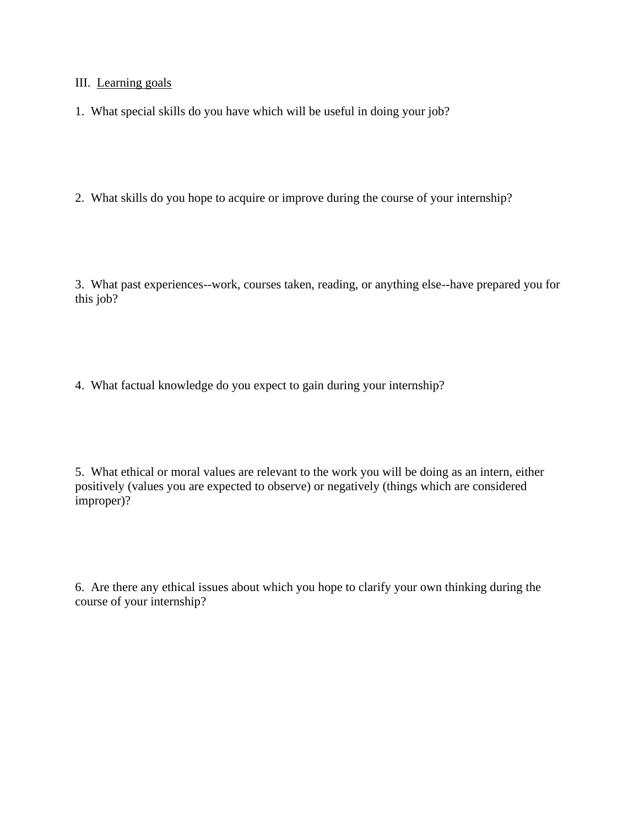III. Learning goals

1. What special skills do you have which will be useful in doing your job?

2. What skills do you hope to acquire or improve during the course of your internship?

3. What past experiences--work, courses taken, reading, or anything else--have prepared you for this job?

4. What factual knowledge do you expect to gain during your internship?

5. What ethical or moral values are relevant to the work you will be doing as an intern, either positively (values you are expected to observe) or negatively (things which are considered improper)?

6. Are there any ethical issues about which you hope to clarify your own thinking during the course of your internship?